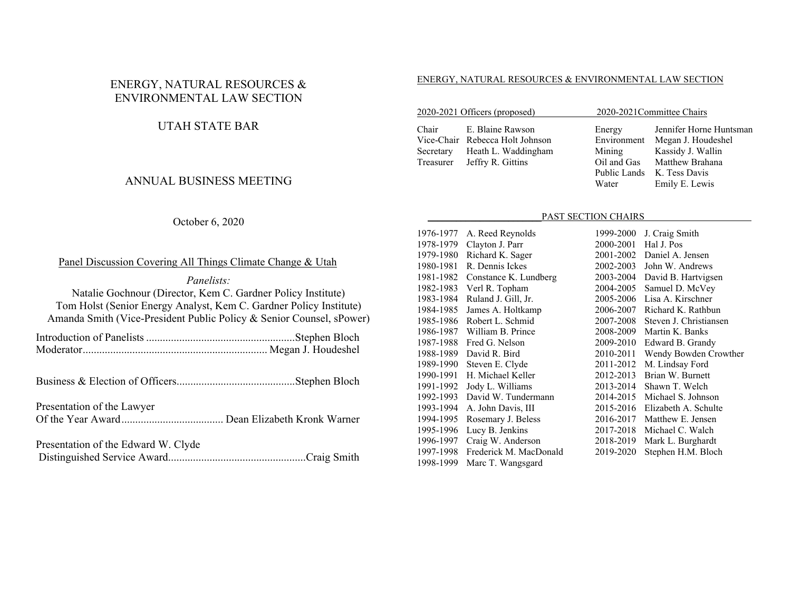# ENERGY, NATURAL RESOURCES & ENVIRONMENTAL LAW SECTION

# UTAH STATE BAR

## ANNUAL BUSINESS MEETING

#### October 6, 2020

## Panel Discussion Covering All Things Climate Change & Utah

*Panelists:* Natalie Gochnour (Director, Kem C. Gardner Policy Institute) Tom Holst (Senior Energy Analyst, Kem C. Gardner Policy Institute) Amanda Smith (Vice-President Public Policy & Senior Counsel, sPower)

Business & Election of Officers ........................................... Stephen Bloch

Presentation of the Lawyer Of the Year Award ..................................... Dean Elizabeth Kronk Warner

Presentation of the Edward W. Clyde Distinguished Service Award .................................................. Craig Smith

#### ENERGY, NATURAL RESOURCES & ENVIRONMENTAL LAW SECTION

| 2020-2021 Officers (proposed) |                                 |             | 2020-2021 Committee Chairs |  |
|-------------------------------|---------------------------------|-------------|----------------------------|--|
| Chair                         | E. Blaine Rawson                | Energy      | Jennifer Horne Huntsman    |  |
|                               | Vice-Chair Rebecca Holt Johnson | Environment | Megan J. Houdeshel         |  |
| Secretary                     | Heath L. Waddingham             | Mining      | Kassidy J. Wallin          |  |
|                               | Treasurer Jeffry R. Gittins     | Oil and Gas | Matthew Brahana            |  |
|                               |                                 |             | Public Lands K. Tess Davis |  |

#### PAST SECTION CHAIRS

Water Emily E. Lewis

| 1976-1977 | A. Reed Reynolds       | 1999-2000 | J. Craig Smith         |
|-----------|------------------------|-----------|------------------------|
| 1978-1979 | Clayton J. Parr        | 2000-2001 | Hal J. Pos             |
| 1979-1980 | Richard K. Sager       | 2001-2002 | Daniel A. Jensen       |
| 1980-1981 | R. Dennis Ickes        | 2002-2003 | John W. Andrews        |
| 1981-1982 | Constance K. Lundberg  | 2003-2004 | David B. Hartvigsen    |
| 1982-1983 | Verl R. Topham         | 2004-2005 | Samuel D. McVey        |
| 1983-1984 | Ruland J. Gill, Jr.    | 2005-2006 | Lisa A. Kirschner      |
| 1984-1985 | James A. Holtkamp      | 2006-2007 | Richard K. Rathbun     |
| 1985-1986 | Robert L. Schmid       | 2007-2008 | Steven J. Christiansen |
| 1986-1987 | William B. Prince      | 2008-2009 | Martin K. Banks        |
| 1987-1988 | Fred G. Nelson         | 2009-2010 | Edward B. Grandy       |
| 1988-1989 | David R. Bird          | 2010-2011 | Wendy Bowden Crowther  |
| 1989-1990 | Steven E. Clyde        | 2011-2012 | M. Lindsay Ford        |
| 1990-1991 | H. Michael Keller      | 2012-2013 | Brian W. Burnett       |
| 1991-1992 | Jody L. Williams       | 2013-2014 | Shawn T. Welch         |
| 1992-1993 | David W. Tundermann    | 2014-2015 | Michael S. Johnson     |
| 1993-1994 | A. John Davis, III     | 2015-2016 | Elizabeth A. Schulte   |
| 1994-1995 | Rosemary J. Beless     | 2016-2017 | Matthew E. Jensen      |
| 1995-1996 | Lucy B. Jenkins        | 2017-2018 | Michael C. Walch       |
| 1996-1997 | Craig W. Anderson      | 2018-2019 | Mark L. Burghardt      |
| 1997-1998 | Frederick M. MacDonald | 2019-2020 | Stephen H.M. Bloch     |
| 1998-1999 | Marc T. Wangsgard      |           |                        |